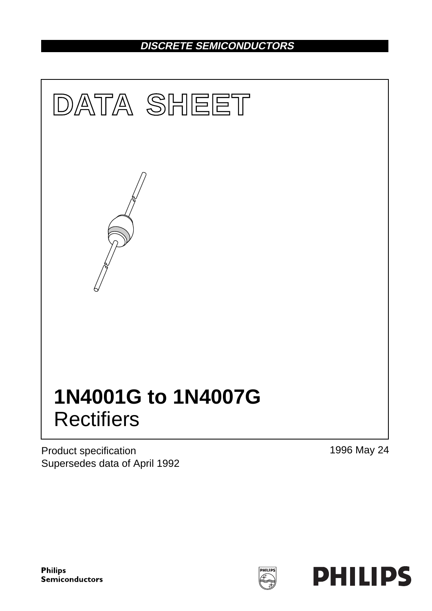# **DISCRETE SEMICONDUCTORS**



Product specification Supersedes data of April 1992 1996 May 24

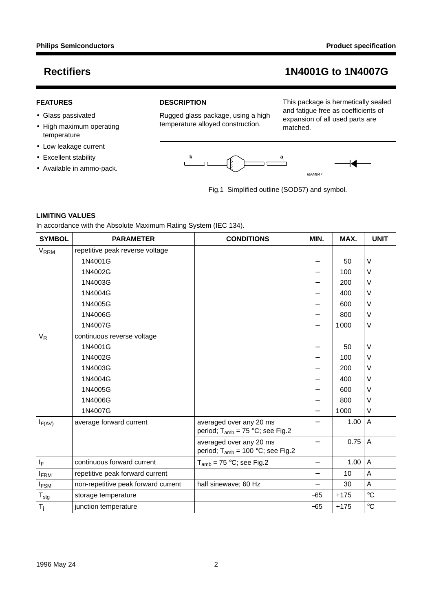### **FEATURES**

- Glass passivated
- High maximum operating temperature
- Low leakage current
- Excellent stability
- Available in ammo-pack.

### **DESCRIPTION**

Rugged glass package, using a high temperature alloyed construction.

This package is hermetically sealed and fatigue free as coefficients of expansion of all used parts are matched.



### **LIMITING VALUES**

In accordance with the Absolute Maximum Rating System (IEC 134).

| <b>SYMBOL</b>           | <b>PARAMETER</b>                    | <b>CONDITIONS</b>                                                | MIN.                     | MAX.   | <b>UNIT</b>     |
|-------------------------|-------------------------------------|------------------------------------------------------------------|--------------------------|--------|-----------------|
| <b>V<sub>RRM</sub></b>  | repetitive peak reverse voltage     |                                                                  |                          |        |                 |
|                         | 1N4001G                             |                                                                  |                          | 50     | V               |
|                         | 1N4002G                             |                                                                  |                          | 100    | V               |
|                         | 1N4003G                             |                                                                  |                          | 200    | V               |
|                         | 1N4004G                             |                                                                  |                          | 400    | V               |
|                         | 1N4005G                             |                                                                  |                          | 600    | V               |
|                         | 1N4006G                             |                                                                  |                          | 800    | V               |
|                         | 1N4007G                             |                                                                  |                          | 1000   | V               |
| $V_R$                   | continuous reverse voltage          |                                                                  |                          |        |                 |
|                         | 1N4001G                             |                                                                  |                          | 50     | V               |
|                         | 1N4002G                             |                                                                  |                          | 100    | V               |
|                         | 1N4003G                             |                                                                  |                          | 200    | V               |
|                         | 1N4004G                             |                                                                  |                          | 400    | V               |
|                         | 1N4005G                             |                                                                  |                          | 600    | V               |
|                         | 1N4006G                             |                                                                  |                          | 800    | V               |
|                         | 1N4007G                             |                                                                  |                          | 1000   | V               |
| $I_{F(AV)}$             | average forward current             | averaged over any 20 ms<br>period; $T_{amb} = 75 °C$ ; see Fig.2 |                          | 1.00   | Α               |
|                         |                                     | averaged over any 20 ms<br>period; $T_{amb}$ = 100 °C; see Fig.2 |                          | 0.75   | A               |
| $\mathsf{l}_\mathsf{F}$ | continuous forward current          | $T_{amb}$ = 75 °C; see Fig.2                                     | —                        | 1.00   | A               |
| <b>IFRM</b>             | repetitive peak forward current     |                                                                  | $\overline{\phantom{0}}$ | 10     | Α               |
| <b>IFSM</b>             | non-repetitive peak forward current | half sinewave; 60 Hz                                             | $\overline{\phantom{0}}$ | 30     | A               |
| $T_{\text{stg}}$        | storage temperature                 |                                                                  | $-65$                    | $+175$ | $\circ$ C       |
| $T_j$                   | junction temperature                |                                                                  | $-65$                    | $+175$ | $\rm ^{\circ}C$ |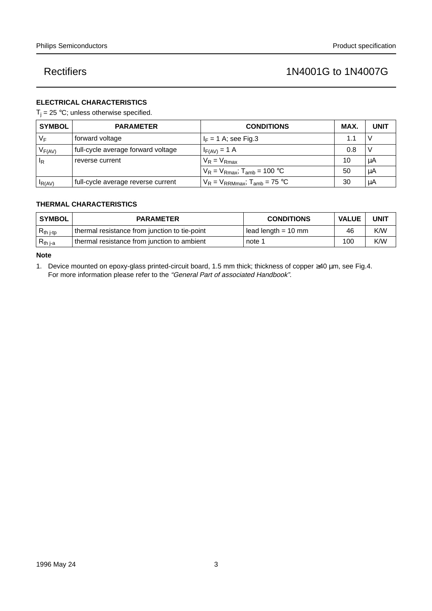## **ELECTRICAL CHARACTERISTICS**

 $T_i = 25 °C$ ; unless otherwise specified.

| <b>SYMBOL</b>                          | <b>PARAMETER</b>                   | <b>CONDITIONS</b>                            | MAX. | <b>UNIT</b> |
|----------------------------------------|------------------------------------|----------------------------------------------|------|-------------|
| VF                                     | forward voltage                    | $I_F = 1$ A; see Fig.3                       | 1.1  |             |
| $\mathsf{V}_{\mathsf{F}(\mathsf{AV})}$ | full-cycle average forward voltage | $I_{F(AV)} = 1$ A                            | 0.8  |             |
| ΙR                                     | reverse current                    | $V_R = V_{Rmax}$                             | 10   | μA          |
|                                        |                                    | $V_R = V_{Rmax}$ ; T <sub>amb</sub> = 100 °C | 50   | μA          |
| $I_R(AV)$                              | full-cycle average reverse current | $V_R = V_{RRMmax}$ ; $T_{amb} = 75$ °C       | 30   | μA          |

## **THERMAL CHARACTERISTICS**

| <b>SYMBOL</b>  | <b>PARAMETER</b>                              | <b>CONDITIONS</b>   | <b>VALUE</b> | <b>UNIT</b> |
|----------------|-----------------------------------------------|---------------------|--------------|-------------|
| $R_{th\ j-tp}$ | thermal resistance from junction to tie-point | lead length = 10 mm | 46           | K/W         |
| $R_{th j-a}$   | thermal resistance from junction to ambient   | note 1              | 100          | K/W         |

**Note**

1. Device mounted on epoxy-glass printed-circuit board, 1.5 mm thick; thickness of copper ≥40 µm, see Fig.4. For more information please refer to the "General Part of associated Handbook".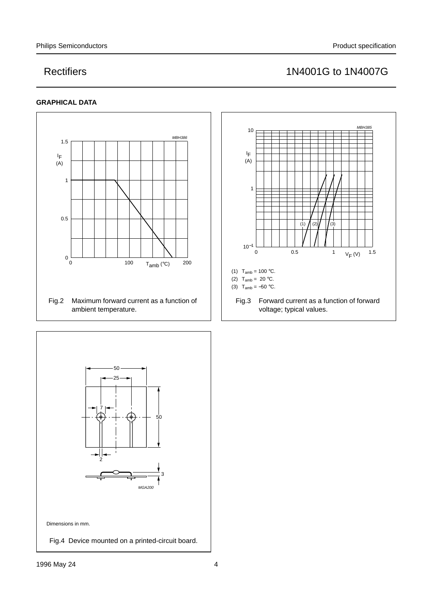## **GRAPHICAL DATA**